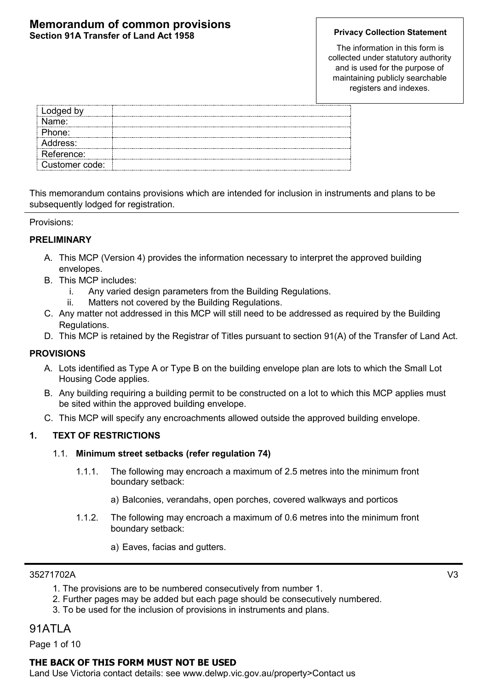#### **Memorandum of common provisions Section 91A Transfer of Land Act 1958 Privacy Collection Statement**

The information in this form is collected under statutory authority and is used for the purpose of maintaining publicly searchable registers and indexes.

| Lodged by      |  |
|----------------|--|
| Jame:          |  |
| Phone:         |  |
| Address:       |  |
| Reference:     |  |
| Customer code: |  |

This memorandum contains provisions which are intended for inclusion in instruments and plans to be subsequently lodged for registration.

#### Provisions:

#### **PRELIMINARY**

- A. This MCP (Version 4) provides the information necessary to interpret the approved building envelopes.
- B. This MCP includes:
	- i. Any varied design parameters from the Building Regulations.
	- ii. Matters not covered by the Building Regulations.
- C. Any matter not addressed in this MCP will still need to be addressed as required by the Building Regulations.
- D. This MCP is retained by the Registrar of Titles pursuant to section 91(A) of the Transfer of Land Act.

#### **PROVISIONS**

- A. Lots identified as Type A or Type B on the building envelope plan are lots to which the Small Lot Housing Code applies.
- B. Any building requiring a building permit to be constructed on a lot to which this MCP applies must be sited within the approved building envelope.
- C. This MCP will specify any encroachments allowed outside the approved building envelope.

#### **1. TEXT OF RESTRICTIONS**

#### 1.1. **Minimum street setbacks (refer regulation 74)**

- 1.1.1. The following may encroach a maximum of 2.5 metres into the minimum front boundary setback:
	- a) Balconies, verandahs, open porches, covered walkways and porticos
- 1.1.2. The following may encroach a maximum of 0.6 metres into the minimum front boundary setback:
	- a) Eaves, facias and gutters.

#### 35271702A V3

- 1. The provisions are to be numbered consecutively from number 1.
- 2. Further pages may be added but each page should be consecutively numbered.
- 3. To be used for the inclusion of provisions in instruments and plans.

## 91ATLA

Page 1 of 10

#### **THE BACK OF THIS FORM MUST NOT BE USED**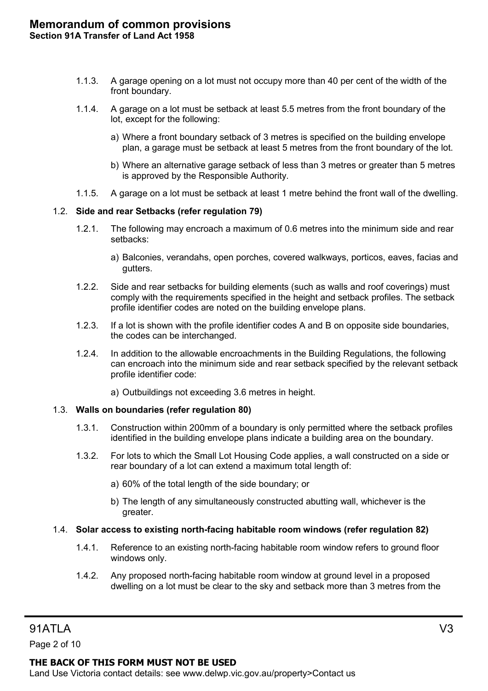- 1.1.3. A garage opening on a lot must not occupy more than 40 per cent of the width of the front boundary.
- 1.1.4. A garage on a lot must be setback at least 5.5 metres from the front boundary of the lot, except for the following:
	- a) Where a front boundary setback of 3 metres is specified on the building envelope plan, a garage must be setback at least 5 metres from the front boundary of the lot.
	- b) Where an alternative garage setback of less than 3 metres or greater than 5 metres is approved by the Responsible Authority.
- 1.1.5. A garage on a lot must be setback at least 1 metre behind the front wall of the dwelling.

#### 1.2. **Side and rear Setbacks (refer regulation 79)**

- 1.2.1. The following may encroach a maximum of 0.6 metres into the minimum side and rear setbacks:
	- a) Balconies, verandahs, open porches, covered walkways, porticos, eaves, facias and gutters.
- 1.2.2. Side and rear setbacks for building elements (such as walls and roof coverings) must comply with the requirements specified in the height and setback profiles. The setback profile identifier codes are noted on the building envelope plans.
- 1.2.3. If a lot is shown with the profile identifier codes A and B on opposite side boundaries, the codes can be interchanged.
- 1.2.4. In addition to the allowable encroachments in the Building Regulations, the following can encroach into the minimum side and rear setback specified by the relevant setback profile identifier code:
	- a) Outbuildings not exceeding 3.6 metres in height.

#### 1.3. **Walls on boundaries (refer regulation 80)**

- 1.3.1. Construction within 200mm of a boundary is only permitted where the setback profiles identified in the building envelope plans indicate a building area on the boundary.
- 1.3.2. For lots to which the Small Lot Housing Code applies, a wall constructed on a side or rear boundary of a lot can extend a maximum total length of:
	- a) 60% of the total length of the side boundary; or
	- b) The length of any simultaneously constructed abutting wall, whichever is the greater.

#### 1.4. **Solar access to existing north-facing habitable room windows (refer regulation 82)**

- 1.4.1. Reference to an existing north-facing habitable room window refers to ground floor windows only.
- 1.4.2. Any proposed north-facing habitable room window at ground level in a proposed dwelling on a lot must be clear to the sky and setback more than 3 metres from the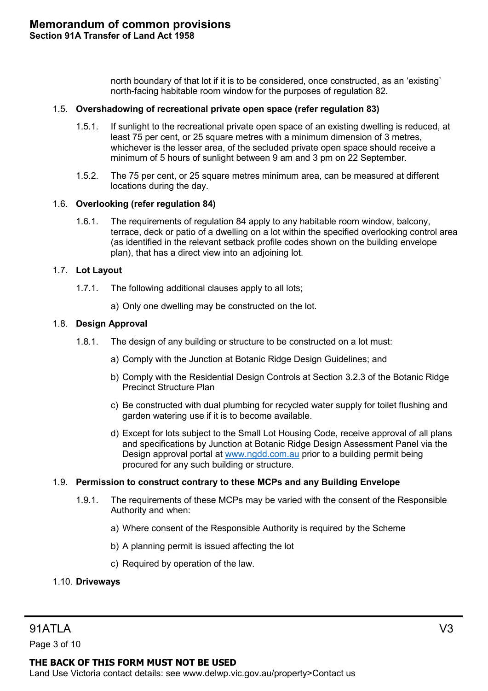north boundary of that lot if it is to be considered, once constructed, as an 'existing' north-facing habitable room window for the purposes of regulation 82.

#### 1.5. **Overshadowing of recreational private open space (refer regulation 83)**

- 1.5.1. If sunlight to the recreational private open space of an existing dwelling is reduced, at least 75 per cent, or 25 square metres with a minimum dimension of 3 metres, whichever is the lesser area, of the secluded private open space should receive a minimum of 5 hours of sunlight between 9 am and 3 pm on 22 September.
- 1.5.2. The 75 per cent, or 25 square metres minimum area, can be measured at different locations during the day.

#### 1.6. **Overlooking (refer regulation 84)**

1.6.1. The requirements of regulation 84 apply to any habitable room window, balcony, terrace, deck or patio of a dwelling on a lot within the specified overlooking control area (as identified in the relevant setback profile codes shown on the building envelope plan), that has a direct view into an adjoining lot.

#### 1.7. **Lot Layout**

- 1.7.1. The following additional clauses apply to all lots;
	- a) Only one dwelling may be constructed on the lot.

#### 1.8. **Design Approval**

- 1.8.1. The design of any building or structure to be constructed on a lot must:
	- a) Comply with the Junction at Botanic Ridge Design Guidelines; and
	- b) Comply with the Residential Design Controls at Section 3.2.3 of the Botanic Ridge Precinct Structure Plan
	- c) Be constructed with dual plumbing for recycled water supply for toilet flushing and garden watering use if it is to become available.
	- d) Except for lots subject to the Small Lot Housing Code, receive approval of all plans and specifications by Junction at Botanic Ridge Design Assessment Panel via the Design approval portal at [www.ngdd.com.au](http://www.ngdd.com.au/) prior to a building permit being procured for any such building or structure.

#### 1.9. **Permission to construct contrary to these MCPs and any Building Envelope**

- 1.9.1. The requirements of these MCPs may be varied with the consent of the Responsible Authority and when:
	- a) Where consent of the Responsible Authority is required by the Scheme
	- b) A planning permit is issued affecting the lot
	- c) Required by operation of the law.

#### 1.10. **Driveways**

Page 3 of 10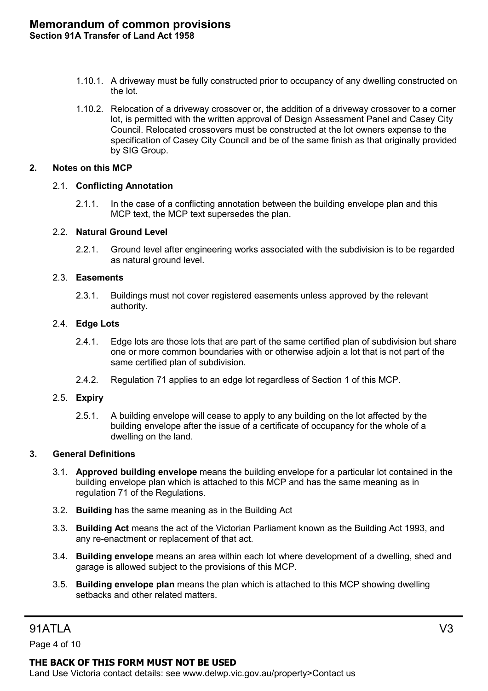- 1.10.1. A driveway must be fully constructed prior to occupancy of any dwelling constructed on the lot.
- 1.10.2. Relocation of a driveway crossover or, the addition of a driveway crossover to a corner lot, is permitted with the written approval of Design Assessment Panel and Casey City Council. Relocated crossovers must be constructed at the lot owners expense to the specification of Casey City Council and be of the same finish as that originally provided by SIG Group.

#### **2. Notes on this MCP**

#### 2.1. **Conflicting Annotation**

2.1.1. In the case of a conflicting annotation between the building envelope plan and this MCP text, the MCP text supersedes the plan.

#### 2.2. **Natural Ground Level**

2.2.1. Ground level after engineering works associated with the subdivision is to be regarded as natural ground level.

#### 2.3. **Easements**

2.3.1. Buildings must not cover registered easements unless approved by the relevant authority.

#### 2.4. **Edge Lots**

- 2.4.1. Edge lots are those lots that are part of the same certified plan of subdivision but share one or more common boundaries with or otherwise adjoin a lot that is not part of the same certified plan of subdivision.
- 2.4.2. Regulation 71 applies to an edge lot regardless of Section 1 of this MCP.

#### 2.5. **Expiry**

2.5.1. A building envelope will cease to apply to any building on the lot affected by the building envelope after the issue of a certificate of occupancy for the whole of a dwelling on the land.

#### **3. General Definitions**

- 3.1. **Approved building envelope** means the building envelope for a particular lot contained in the building envelope plan which is attached to this MCP and has the same meaning as in regulation 71 of the Regulations.
- 3.2. **Building** has the same meaning as in the Building Act
- 3.3. **Building Act** means the act of the Victorian Parliament known as the Building Act 1993, and any re-enactment or replacement of that act.
- 3.4. **Building envelope** means an area within each lot where development of a dwelling, shed and garage is allowed subject to the provisions of this MCP.
- 3.5. **Building envelope plan** means the plan which is attached to this MCP showing dwelling setbacks and other related matters.

# 91ATLA V3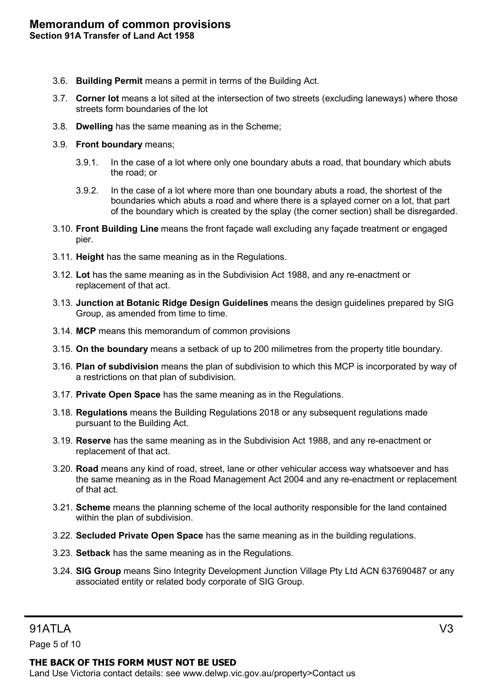- 3.6. **Building Permit** means a permit in terms of the Building Act.
- 3.7. **Corner lot** means a lot sited at the intersection of two streets (excluding laneways) where those streets form boundaries of the lot
- 3.8. **Dwelling** has the same meaning as in the Scheme;
- 3.9. **Front boundary** means;
	- 3.9.1. In the case of a lot where only one boundary abuts a road, that boundary which abuts the road; or
	- 3.9.2. In the case of a lot where more than one boundary abuts a road, the shortest of the boundaries which abuts a road and where there is a splayed corner on a lot, that part of the boundary which is created by the splay (the corner section) shall be disregarded.
- 3.10. **Front Building Line** means the front façade wall excluding any façade treatment or engaged pier.
- 3.11. **Height** has the same meaning as in the Regulations.
- 3.12. **Lot** has the same meaning as in the Subdivision Act 1988, and any re-enactment or replacement of that act.
- 3.13. **Junction at Botanic Ridge Design Guidelines** means the design guidelines prepared by SIG Group, as amended from time to time.
- 3.14. **MCP** means this memorandum of common provisions
- 3.15. **On the boundary** means a setback of up to 200 milimetres from the property title boundary.
- 3.16. **Plan of subdivision** means the plan of subdivision to which this MCP is incorporated by way of a restrictions on that plan of subdivision.
- 3.17. **Private Open Space** has the same meaning as in the Regulations.
- 3.18. **Regulations** means the Building Regulations 2018 or any subsequent regulations made pursuant to the Building Act.
- 3.19. **Reserve** has the same meaning as in the Subdivision Act 1988, and any re-enactment or replacement of that act.
- 3.20. **Road** means any kind of road, street, lane or other vehicular access way whatsoever and has the same meaning as in the Road Management Act 2004 and any re-enactment or replacement of that act.
- 3.21. **Scheme** means the planning scheme of the local authority responsible for the land contained within the plan of subdivision.
- 3.22. **Secluded Private Open Space** has the same meaning as in the building regulations.
- 3.23. **Setback** has the same meaning as in the Regulations.
- 3.24. **SIG Group** means Sino Integrity Development Junction Village Pty Ltd ACN 637690487 or any associated entity or related body corporate of SIG Group.

Page 5 of 10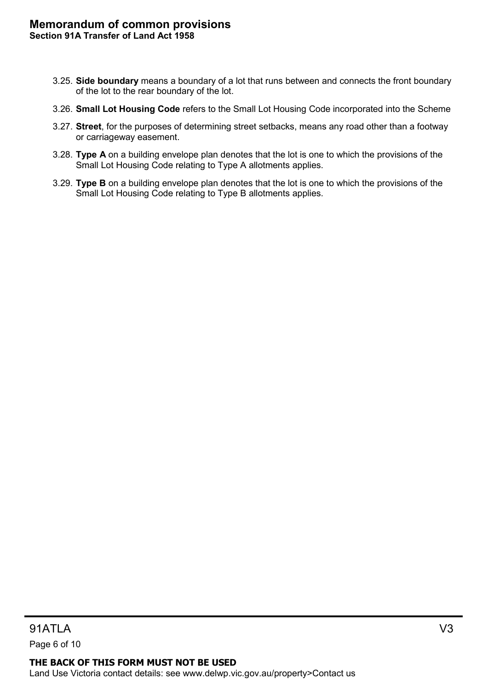- 3.25. **Side boundary** means a boundary of a lot that runs between and connects the front boundary of the lot to the rear boundary of the lot.
- 3.26. **Small Lot Housing Code** refers to the Small Lot Housing Code incorporated into the Scheme
- 3.27. **Street**, for the purposes of determining street setbacks, means any road other than a footway or carriageway easement.
- 3.28. **Type A** on a building envelope plan denotes that the lot is one to which the provisions of the Small Lot Housing Code relating to Type A allotments applies.
- 3.29. **Type B** on a building envelope plan denotes that the lot is one to which the provisions of the Small Lot Housing Code relating to Type B allotments applies.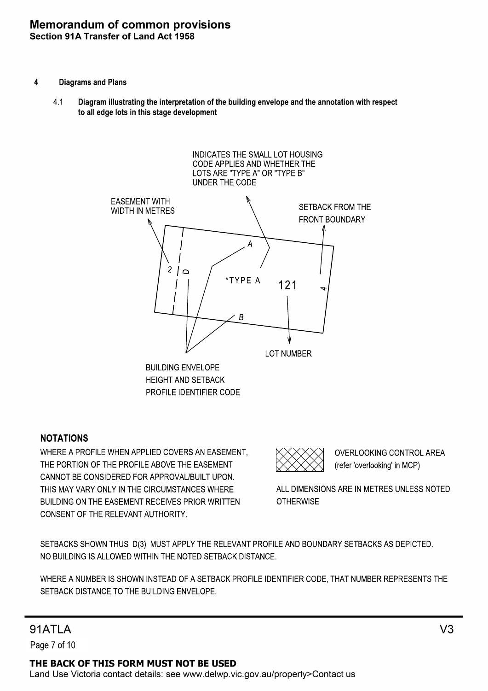#### **Memorandum of common provisions** Section 91A Transfer of Land Act 1958

- 4 Diagrams and Plans
	- Diagram illustrating the interpretation of the building envelope and the annotation with respect to all edge lots in this stage development 4.1



### NOTATIONS

CONSENT OF THE RELEVANT AUTHORITY. BUILDING ON THE EASEMENT RECEIVES PRIOR WRITTEN THIS MAY VARY ONLY IN THE CIRCUMSTANCES WHERE CANNOT BE CONSIDERED FOR APPROVAL/BUILT UPON. THE PORTION OF THE PROFILE ABOVE THE EASEMENT WHERE A PROFILE WHEN APPLIED COVERS AN EASEMENT,

(refer 'overlooking' in MCP) OVERLOOKING CONTROL AREA

**OTHERWISE** ALL DIMENSIONS ARE IN METRES UNLESS NOTED

NO BUILDING IS ALLOWED WITHIN THE NOTED SETBACK DISTANCE. SETBACKS SHOWN THUS D(3) MUST APPLY THE RELEVANT PROFILE AND BOUNDARY SETBACKS AS DEPICTED.

SETBACK DISTANCE TO THE BUILDING ENVELOPE. WHERE A NUMBER IS SHOWN INSTEAD OF A SETBACK PROFILE IDENTIFIER CODE, THAT NUMBER REPRESENTS THE

# **91ATI A**

Page 7 of 10

THE BACK OF THIS FORM MUST NOT BE USED Land Use Victoria contact details: see www.delwp.vic.gov.au/property>Contact us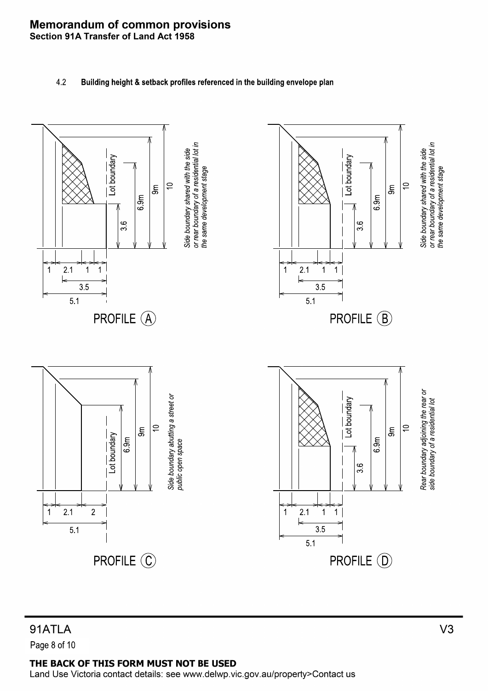#### **Memorandum of common provisions** Section 91A Transfer of Land Act 1958

4.2 Building height & setback profiles referenced in the building envelope plan



# 91ATLA Page 8 of 10

### THE BACK OF THIS FORM MUST NOT BE USED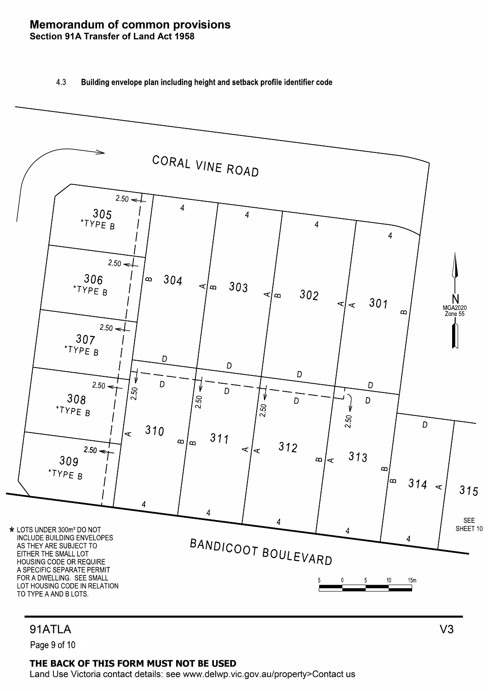#### **Memorandum of common provisions** Section 91A Transfer of Land Act 1958

#### 4.3 Building envelope plan including height and setback profile identifier code



# 91ATLA

Page 9 of 10

#### THE BACK OF THIS FORM MUST NOT BE USED